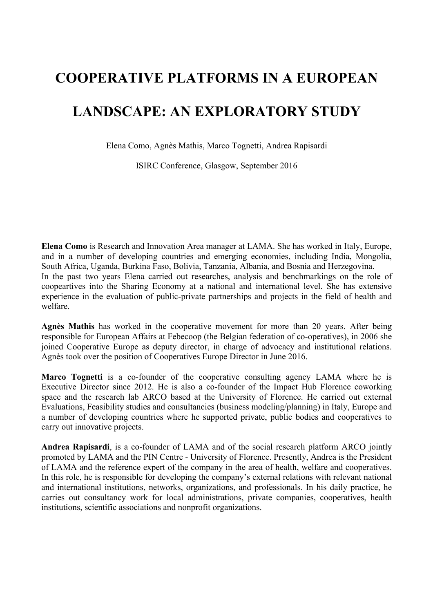# **COOPERATIVE PLATFORMS IN A EUROPEAN LANDSCAPE: AN EXPLORATORY STUDY**

Elena Como, Agnès Mathis, Marco Tognetti, Andrea Rapisardi

ISIRC Conference, Glasgow, September 2016

**Elena Como** is Research and Innovation Area manager at LAMA. She has worked in Italy, Europe, and in a number of developing countries and emerging economies, including India, Mongolia, South Africa, Uganda, Burkina Faso, Bolivia, Tanzania, Albania, and Bosnia and Herzegovina. In the past two years Elena carried out researches, analysis and benchmarkings on the role of coopeartives into the Sharing Economy at a national and international level. She has extensive experience in the evaluation of public-private partnerships and projects in the field of health and welfare.

**Agnès Mathis** has worked in the cooperative movement for more than 20 years. After being responsible for European Affairs at Febecoop (the Belgian federation of co-operatives), in 2006 she joined Cooperative Europe as deputy director, in charge of advocacy and institutional relations. Agnès took over the position of Cooperatives Europe Director in June 2016.

**Marco Tognetti** is a co-founder of the cooperative consulting agency LAMA where he is Executive Director since 2012. He is also a co-founder of the Impact Hub Florence coworking space and the research lab ARCO based at the University of Florence. He carried out external Evaluations, Feasibility studies and consultancies (business modeling/planning) in Italy, Europe and a number of developing countries where he supported private, public bodies and cooperatives to carry out innovative projects.

**Andrea Rapisardi**, is a co-founder of LAMA and of the social research platform ARCO jointly promoted by LAMA and the PIN Centre - University of Florence. Presently, Andrea is the President of LAMA and the reference expert of the company in the area of health, welfare and cooperatives. In this role, he is responsible for developing the company's external relations with relevant national and international institutions, networks, organizations, and professionals. In his daily practice, he carries out consultancy work for local administrations, private companies, cooperatives, health institutions, scientific associations and nonprofit organizations.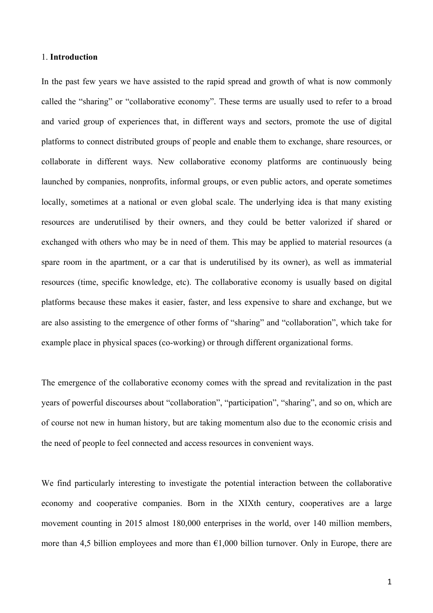### 1. **Introduction**

In the past few years we have assisted to the rapid spread and growth of what is now commonly called the "sharing" or "collaborative economy". These terms are usually used to refer to a broad and varied group of experiences that, in different ways and sectors, promote the use of digital platforms to connect distributed groups of people and enable them to exchange, share resources, or collaborate in different ways. New collaborative economy platforms are continuously being launched by companies, nonprofits, informal groups, or even public actors, and operate sometimes locally, sometimes at a national or even global scale. The underlying idea is that many existing resources are underutilised by their owners, and they could be better valorized if shared or exchanged with others who may be in need of them. This may be applied to material resources (a spare room in the apartment, or a car that is underutilised by its owner), as well as immaterial resources (time, specific knowledge, etc). The collaborative economy is usually based on digital platforms because these makes it easier, faster, and less expensive to share and exchange, but we are also assisting to the emergence of other forms of "sharing" and "collaboration", which take for example place in physical spaces (co-working) or through different organizational forms.

The emergence of the collaborative economy comes with the spread and revitalization in the past years of powerful discourses about "collaboration", "participation", "sharing", and so on, which are of course not new in human history, but are taking momentum also due to the economic crisis and the need of people to feel connected and access resources in convenient ways.

We find particularly interesting to investigate the potential interaction between the collaborative economy and cooperative companies. Born in the XIXth century, cooperatives are a large movement counting in 2015 almost 180,000 enterprises in the world, over 140 million members, more than 4,5 billion employees and more than  $E1,000$  billion turnover. Only in Europe, there are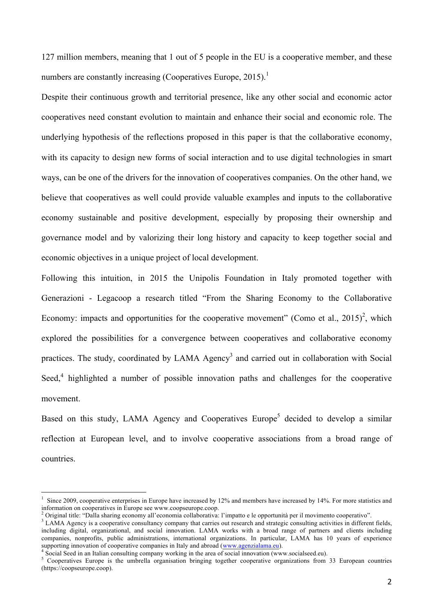127 million members, meaning that 1 out of 5 people in the EU is a cooperative member, and these numbers are constantly increasing (Cooperatives Europe,  $2015$ ).<sup>1</sup>

Despite their continuous growth and territorial presence, like any other social and economic actor cooperatives need constant evolution to maintain and enhance their social and economic role. The underlying hypothesis of the reflections proposed in this paper is that the collaborative economy, with its capacity to design new forms of social interaction and to use digital technologies in smart ways, can be one of the drivers for the innovation of cooperatives companies. On the other hand, we believe that cooperatives as well could provide valuable examples and inputs to the collaborative economy sustainable and positive development, especially by proposing their ownership and governance model and by valorizing their long history and capacity to keep together social and economic objectives in a unique project of local development.

Following this intuition, in 2015 the Unipolis Foundation in Italy promoted together with Generazioni - Legacoop a research titled "From the Sharing Economy to the Collaborative Economy: impacts and opportunities for the cooperative movement" (Como et al.,  $2015$ )<sup>2</sup>, which explored the possibilities for a convergence between cooperatives and collaborative economy practices. The study, coordinated by LAMA Agency<sup>3</sup> and carried out in collaboration with Social Seed, $4$  highlighted a number of possible innovation paths and challenges for the cooperative movement.

Based on this study, LAMA Agency and Cooperatives Europe<sup>5</sup> decided to develop a similar reflection at European level, and to involve cooperative associations from a broad range of countries.

 $\frac{1}{1}$ <sup>1</sup> Since 2009, cooperative enterprises in Europe have increased by 12% and members have increased by 14%. For more statistics and information on cooperatives in Europe see www.coopseurope.coop.

<sup>&</sup>lt;sup>2</sup> Original title: "Dalla sharing economy all'economia collaborativa: l'impatto e le opportunità per il movimento cooperativo".<br><sup>3</sup> LAMA Agency is a cooperative consultancy company that carries out research and strategic

including digital, organizational, and social innovation. LAMA works with a broad range of partners and clients including companies, nonprofits, public administrations, international organizations. In particular, LAMA has 10 years of experience supporting innovation of cooperative companies in Italy and abroad (www.agenzialama.eu).

 $\frac{4}{5}$  Social Seed in an Italian consulting company working in the area of social innovation (www.socialseed.eu).<br>  $\frac{5}{5}$  Cooperatives Europe is the umbrella organisation bringing together cooperative organizations (https://coopseurope.coop).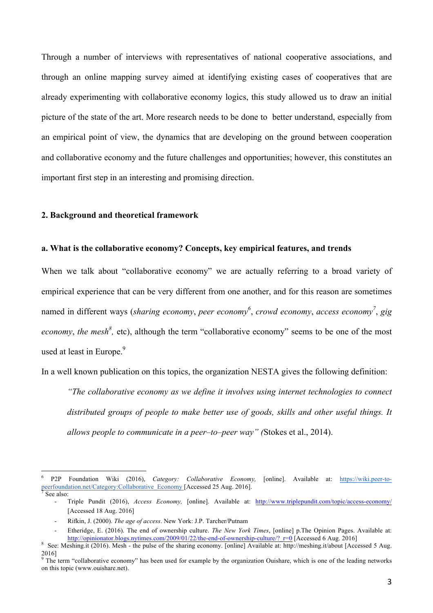Through a number of interviews with representatives of national cooperative associations, and through an online mapping survey aimed at identifying existing cases of cooperatives that are already experimenting with collaborative economy logics, this study allowed us to draw an initial picture of the state of the art. More research needs to be done to better understand, especially from an empirical point of view, the dynamics that are developing on the ground between cooperation and collaborative economy and the future challenges and opportunities; however, this constitutes an important first step in an interesting and promising direction.

#### **2. Background and theoretical framework**

### **a. What is the collaborative economy? Concepts, key empirical features, and trends**

When we talk about "collaborative economy" we are actually referring to a broad variety of empirical experience that can be very different from one another, and for this reason are sometimes named in different ways (*sharing economy, peer economy*<sup>6</sup>, *crowd economy, access economy*<sup>7</sup>, *gig economy, the mesh<sup>8</sup>*, etc), although the term "collaborative economy" seems to be one of the most used at least in Europe.<sup>9</sup>

In a well known publication on this topics, the organization NESTA gives the following definition:

*"The collaborative economy as we define it involves using internet technologies to connect distributed groups of people to make better use of goods, skills and other useful things. It allows people to communicate in a peer–to–peer way" (*Stokes et al., 2014).

 <sup>6</sup> P2P Foundation Wiki (2016), *Category: Collaborative Economy,* [online]. Available at: https://wiki.peer-topeerfoundation.net/Category:Collaborative\_Economy [Accessed 25 Aug. 2016].

<sup>-</sup> Triple Pundit (2016), *Access Economy,* [online]. Available at: http://www.triplepundit.com/topic/access-economy/ [Accessed 18 Aug. 2016]

<sup>-</sup> Rifkin, J. (2000). *The age of access*. New York: J.P. Tarcher/Putnam

Etheridge, E. (2016). The end of ownership culture. *The New York Times*, [online] p.The Opinion Pages. Available at:<br>http://opinionator.blogs.nytimes.com/2009/01/22/the-end-of-ownership-culture/? r=0 [Accessed 6 Aug. 2016

<sup>&</sup>lt;sup>8</sup> See: Meshing.it (2016). Mesh - the pulse of the sharing economy. [online] Available at: http://meshing.it/about [Accessed 5 Aug. 2016]

 $9$  The term "collaborative economy" has been used for example by the organization Ouishare, which is one of the leading networks on this topic (www.ouishare.net).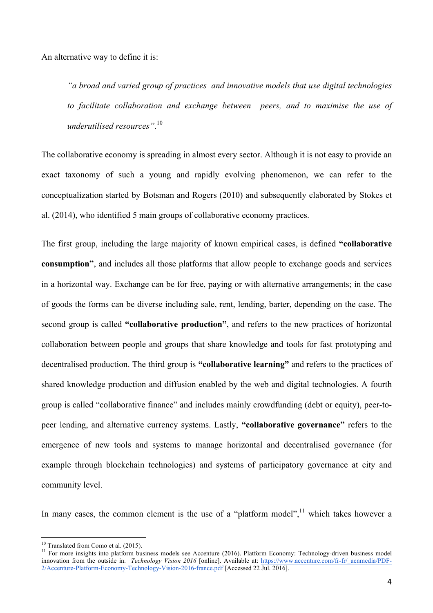An alternative way to define it is:

*"a broad and varied group of practices and innovative models that use digital technologies to facilitate collaboration and exchange between peers, and to maximise the use of underutilised resources"*. 10

The collaborative economy is spreading in almost every sector. Although it is not easy to provide an exact taxonomy of such a young and rapidly evolving phenomenon, we can refer to the conceptualization started by Botsman and Rogers (2010) and subsequently elaborated by Stokes et al. (2014), who identified 5 main groups of collaborative economy practices.

The first group, including the large majority of known empirical cases, is defined **"collaborative consumption"**, and includes all those platforms that allow people to exchange goods and services in a horizontal way. Exchange can be for free, paying or with alternative arrangements; in the case of goods the forms can be diverse including sale, rent, lending, barter, depending on the case. The second group is called **"collaborative production"**, and refers to the new practices of horizontal collaboration between people and groups that share knowledge and tools for fast prototyping and decentralised production. The third group is **"collaborative learning"** and refers to the practices of shared knowledge production and diffusion enabled by the web and digital technologies. A fourth group is called "collaborative finance" and includes mainly crowdfunding (debt or equity), peer-topeer lending, and alternative currency systems. Lastly, **"collaborative governance"** refers to the emergence of new tools and systems to manage horizontal and decentralised governance (for example through blockchain technologies) and systems of participatory governance at city and community level.

In many cases, the common element is the use of a "platform model", $\frac{11}{11}$  which takes however a

<sup>&</sup>lt;sup>10</sup> Translated from Como et al. (2015).<br><sup>11</sup> For more insights into platform business models see Accenture (2016). Platform Economy: Technology-driven business model innovation from the outside in. *Technology Vision 2016* [online]. Available at: https://www.accenture.com/fr-fr/\_acnmedia/PDF-2/Accenture-Platform-Economy-Technology-Vision-2016-france.pdf [Accessed 22 Jul. 2016].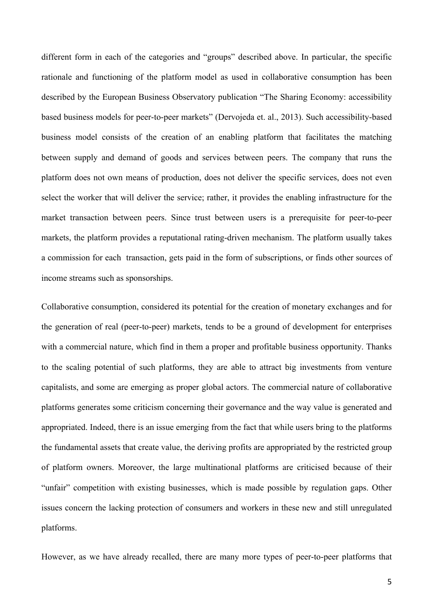different form in each of the categories and "groups" described above. In particular, the specific rationale and functioning of the platform model as used in collaborative consumption has been described by the European Business Observatory publication "The Sharing Economy: accessibility based business models for peer-to-peer markets" (Dervojeda et. al., 2013). Such accessibility-based business model consists of the creation of an enabling platform that facilitates the matching between supply and demand of goods and services between peers. The company that runs the platform does not own means of production, does not deliver the specific services, does not even select the worker that will deliver the service; rather, it provides the enabling infrastructure for the market transaction between peers. Since trust between users is a prerequisite for peer-to-peer markets, the platform provides a reputational rating-driven mechanism. The platform usually takes a commission for each transaction, gets paid in the form of subscriptions, or finds other sources of income streams such as sponsorships.

Collaborative consumption, considered its potential for the creation of monetary exchanges and for the generation of real (peer-to-peer) markets, tends to be a ground of development for enterprises with a commercial nature, which find in them a proper and profitable business opportunity. Thanks to the scaling potential of such platforms, they are able to attract big investments from venture capitalists, and some are emerging as proper global actors. The commercial nature of collaborative platforms generates some criticism concerning their governance and the way value is generated and appropriated. Indeed, there is an issue emerging from the fact that while users bring to the platforms the fundamental assets that create value, the deriving profits are appropriated by the restricted group of platform owners. Moreover, the large multinational platforms are criticised because of their "unfair" competition with existing businesses, which is made possible by regulation gaps. Other issues concern the lacking protection of consumers and workers in these new and still unregulated platforms.

However, as we have already recalled, there are many more types of peer-to-peer platforms that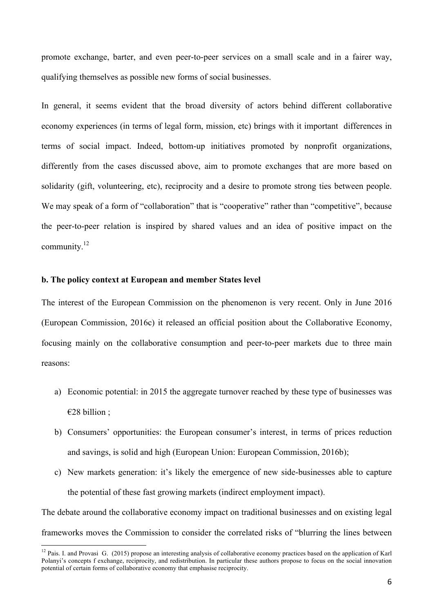promote exchange, barter, and even peer-to-peer services on a small scale and in a fairer way, qualifying themselves as possible new forms of social businesses.

In general, it seems evident that the broad diversity of actors behind different collaborative economy experiences (in terms of legal form, mission, etc) brings with it important differences in terms of social impact. Indeed, bottom-up initiatives promoted by nonprofit organizations, differently from the cases discussed above, aim to promote exchanges that are more based on solidarity (gift, volunteering, etc), reciprocity and a desire to promote strong ties between people. We may speak of a form of "collaboration" that is "cooperative" rather than "competitive", because the peer-to-peer relation is inspired by shared values and an idea of positive impact on the community.<sup>12</sup>

### **b. The policy context at European and member States level**

The interest of the European Commission on the phenomenon is very recent. Only in June 2016 (European Commission, 2016c) it released an official position about the Collaborative Economy, focusing mainly on the collaborative consumption and peer-to-peer markets due to three main reasons:

- a) Economic potential: in 2015 the aggregate turnover reached by these type of businesses was €28 billion ;
- b) Consumers' opportunities: the European consumer's interest, in terms of prices reduction and savings, is solid and high (European Union: European Commission, 2016b);
- c) New markets generation: it's likely the emergence of new side-businesses able to capture the potential of these fast growing markets (indirect employment impact).

The debate around the collaborative economy impact on traditional businesses and on existing legal frameworks moves the Commission to consider the correlated risks of "blurring the lines between

<sup>&</sup>lt;sup>12</sup> Pais. I. and Provasi G. (2015) propose an interesting analysis of collaborative economy practices based on the application of Karl Polanyi's concepts f exchange, reciprocity, and redistribution. In particular these authors propose to focus on the social innovation potential of certain forms of collaborative economy that emphasise reciprocity.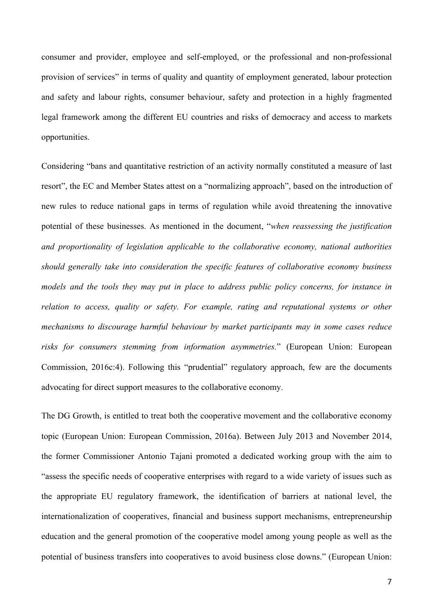consumer and provider, employee and self-employed, or the professional and non-professional provision of services" in terms of quality and quantity of employment generated, labour protection and safety and labour rights, consumer behaviour, safety and protection in a highly fragmented legal framework among the different EU countries and risks of democracy and access to markets opportunities.

Considering "bans and quantitative restriction of an activity normally constituted a measure of last resort", the EC and Member States attest on a "normalizing approach", based on the introduction of new rules to reduce national gaps in terms of regulation while avoid threatening the innovative potential of these businesses. As mentioned in the document, "*when reassessing the justification and proportionality of legislation applicable to the collaborative economy, national authorities should generally take into consideration the specific features of collaborative economy business models and the tools they may put in place to address public policy concerns, for instance in relation to access, quality or safety. For example, rating and reputational systems or other mechanisms to discourage harmful behaviour by market participants may in some cases reduce risks for consumers stemming from information asymmetries.*" (European Union: European Commission, 2016c:4). Following this "prudential" regulatory approach, few are the documents advocating for direct support measures to the collaborative economy.

The DG Growth, is entitled to treat both the cooperative movement and the collaborative economy topic (European Union: European Commission, 2016a). Between July 2013 and November 2014, the former Commissioner Antonio Tajani promoted a dedicated working group with the aim to "assess the specific needs of cooperative enterprises with regard to a wide variety of issues such as the appropriate EU regulatory framework, the identification of barriers at national level, the internationalization of cooperatives, financial and business support mechanisms, entrepreneurship education and the general promotion of the cooperative model among young people as well as the potential of business transfers into cooperatives to avoid business close downs." (European Union: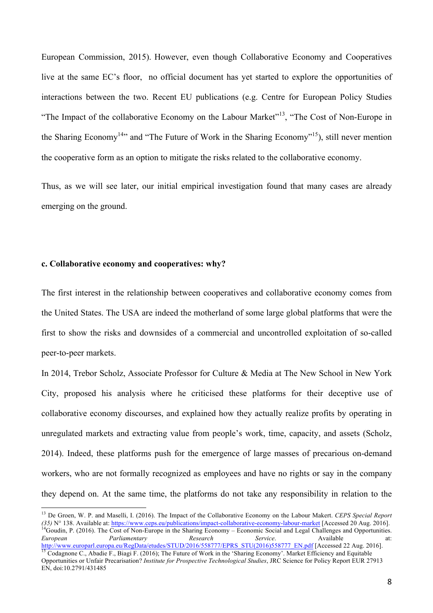European Commission, 2015). However, even though Collaborative Economy and Cooperatives live at the same EC's floor, no official document has yet started to explore the opportunities of interactions between the two. Recent EU publications (e.g. Centre for European Policy Studies "The Impact of the collaborative Economy on the Labour Market"<sup>13</sup>, "The Cost of Non-Europe in the Sharing Economy<sup>14</sup><sup>,</sup> and "The Future of Work in the Sharing Economy"<sup>15</sup>), still never mention the cooperative form as an option to mitigate the risks related to the collaborative economy.

Thus, as we will see later, our initial empirical investigation found that many cases are already emerging on the ground.

### **c. Collaborative economy and cooperatives: why?**

EN, doi:10.2791/431485

The first interest in the relationship between cooperatives and collaborative economy comes from the United States. The USA are indeed the motherland of some large global platforms that were the first to show the risks and downsides of a commercial and uncontrolled exploitation of so-called peer-to-peer markets.

In 2014, Trebor Scholz, Associate Professor for Culture & Media at The New School in New York City, proposed his analysis where he criticised these platforms for their deceptive use of collaborative economy discourses, and explained how they actually realize profits by operating in unregulated markets and extracting value from people's work, time, capacity, and assets (Scholz, 2014). Indeed, these platforms push for the emergence of large masses of precarious on-demand workers, who are not formally recognized as employees and have no rights or say in the company they depend on. At the same time, the platforms do not take any responsibility in relation to the

<sup>&</sup>lt;sup>13</sup> De Groen, W. P. and Maselli, I. (2016). The Impact of the Collaborative Economy on the Labour Makert. *CEPS Special Report* (35) N° 138. Available at: https://www.ceps.eu/publications/impact-collaborative-economy-labo <sup>14</sup>Goudin, P. (2016). The Cost of Non-Europe in the Sharing Economy – Economic Social and Legal Challenges and Opportunities.<br> *European* Parliamentary Research Service. Available at: *European Parliamentary Research Service*. Available at:<br>
http://www.europarl.europa.eu/RegData/etudes/STUD/2016/558777/EPRS STU(2016)558777 EN.pdf [Accessed 22 Aug. 2016]. <sup>15</sup> Codagnone C., Abadie F., Biagi F. (2016); The Future of Work in the 'Sharing Economy'. Market Efficiency and Equitable Opportunities or Unfair Precarisation? *Institute for Prospective Technological Studies*, JRC Science for Policy Report EUR 27913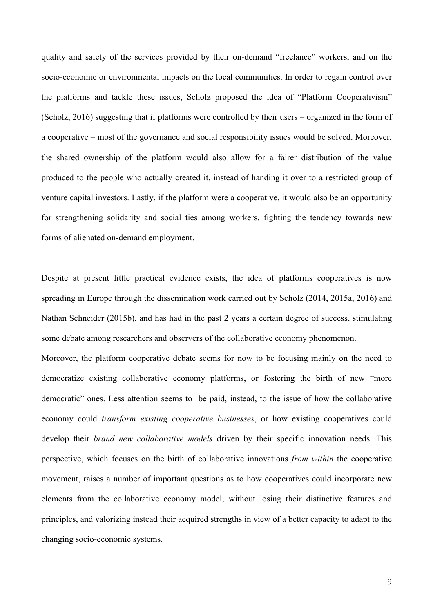quality and safety of the services provided by their on-demand "freelance" workers, and on the socio-economic or environmental impacts on the local communities. In order to regain control over the platforms and tackle these issues, Scholz proposed the idea of "Platform Cooperativism" (Scholz, 2016) suggesting that if platforms were controlled by their users – organized in the form of a cooperative – most of the governance and social responsibility issues would be solved. Moreover, the shared ownership of the platform would also allow for a fairer distribution of the value produced to the people who actually created it, instead of handing it over to a restricted group of venture capital investors. Lastly, if the platform were a cooperative, it would also be an opportunity for strengthening solidarity and social ties among workers, fighting the tendency towards new forms of alienated on-demand employment.

Despite at present little practical evidence exists, the idea of platforms cooperatives is now spreading in Europe through the dissemination work carried out by Scholz (2014, 2015a, 2016) and Nathan Schneider (2015b), and has had in the past 2 years a certain degree of success, stimulating some debate among researchers and observers of the collaborative economy phenomenon.

Moreover, the platform cooperative debate seems for now to be focusing mainly on the need to democratize existing collaborative economy platforms, or fostering the birth of new "more democratic" ones. Less attention seems to be paid, instead, to the issue of how the collaborative economy could *transform existing cooperative businesses*, or how existing cooperatives could develop their *brand new collaborative models* driven by their specific innovation needs. This perspective, which focuses on the birth of collaborative innovations *from within* the cooperative movement, raises a number of important questions as to how cooperatives could incorporate new elements from the collaborative economy model, without losing their distinctive features and principles, and valorizing instead their acquired strengths in view of a better capacity to adapt to the changing socio-economic systems.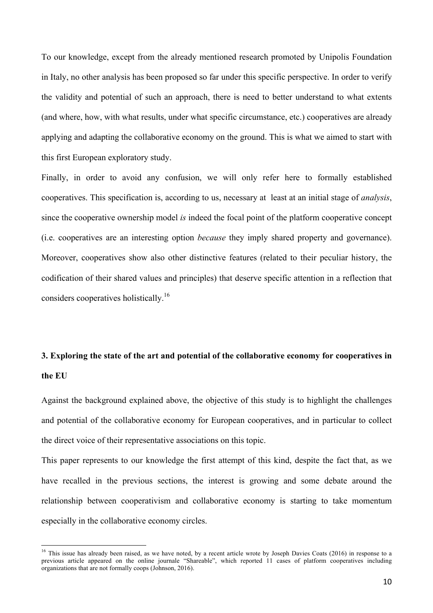To our knowledge, except from the already mentioned research promoted by Unipolis Foundation in Italy, no other analysis has been proposed so far under this specific perspective. In order to verify the validity and potential of such an approach, there is need to better understand to what extents (and where, how, with what results, under what specific circumstance, etc.) cooperatives are already applying and adapting the collaborative economy on the ground. This is what we aimed to start with this first European exploratory study.

Finally, in order to avoid any confusion, we will only refer here to formally established cooperatives. This specification is, according to us, necessary at least at an initial stage of *analysis*, since the cooperative ownership model *is* indeed the focal point of the platform cooperative concept (i.e. cooperatives are an interesting option *because* they imply shared property and governance). Moreover, cooperatives show also other distinctive features (related to their peculiar history, the codification of their shared values and principles) that deserve specific attention in a reflection that considers cooperatives holistically.16

# **3. Exploring the state of the art and potential of the collaborative economy for cooperatives in the EU**

Against the background explained above, the objective of this study is to highlight the challenges and potential of the collaborative economy for European cooperatives, and in particular to collect the direct voice of their representative associations on this topic.

This paper represents to our knowledge the first attempt of this kind, despite the fact that, as we have recalled in the previous sections, the interest is growing and some debate around the relationship between cooperativism and collaborative economy is starting to take momentum especially in the collaborative economy circles.

<sup>&</sup>lt;sup>16</sup> This issue has already been raised, as we have noted, by a recent article wrote by Joseph Davies Coats (2016) in response to a previous article appeared on the online journale "Shareable", which reported 11 cases of platform cooperatives including organizations that are not formally coops (Johnson, 2016).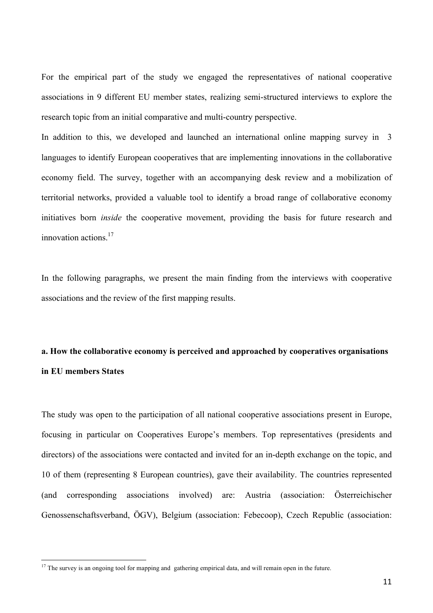For the empirical part of the study we engaged the representatives of national cooperative associations in 9 different EU member states, realizing semi-structured interviews to explore the research topic from an initial comparative and multi-country perspective.

In addition to this, we developed and launched an international online mapping survey in 3 languages to identify European cooperatives that are implementing innovations in the collaborative economy field. The survey, together with an accompanying desk review and a mobilization of territorial networks, provided a valuable tool to identify a broad range of collaborative economy initiatives born *inside* the cooperative movement, providing the basis for future research and innovation actions.17

In the following paragraphs, we present the main finding from the interviews with cooperative associations and the review of the first mapping results.

## **a. How the collaborative economy is perceived and approached by cooperatives organisations in EU members States**

The study was open to the participation of all national cooperative associations present in Europe, focusing in particular on Cooperatives Europe's members. Top representatives (presidents and directors) of the associations were contacted and invited for an in-depth exchange on the topic, and 10 of them (representing 8 European countries), gave their availability. The countries represented (and corresponding associations involved) are: Austria (association: Österreichischer Genossenschaftsverband, ÖGV), Belgium (association: Febecoop), Czech Republic (association:

<sup>&</sup>lt;sup>17</sup> The survey is an ongoing tool for mapping and gathering empirical data, and will remain open in the future.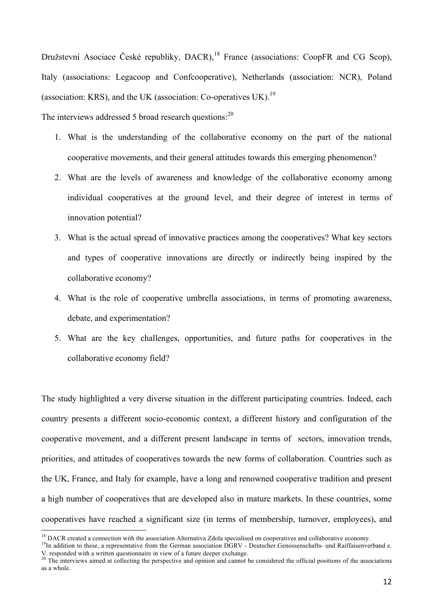Družstevní Asociace České republiky, DACR),<sup>18</sup> France (associations: CoopFR and CG Scop), Italy (associations: Legacoop and Confcooperative), Netherlands (association: NCR), Poland (association: KRS), and the UK (association: Co-operatives UK).<sup>19</sup>

The interviews addressed 5 broad research questions: $^{20}$ 

- 1. What is the understanding of the collaborative economy on the part of the national cooperative movements, and their general attitudes towards this emerging phenomenon?
- 2. What are the levels of awareness and knowledge of the collaborative economy among individual cooperatives at the ground level, and their degree of interest in terms of innovation potential?
- 3. What is the actual spread of innovative practices among the cooperatives? What key sectors and types of cooperative innovations are directly or indirectly being inspired by the collaborative economy?
- 4. What is the role of cooperative umbrella associations, in terms of promoting awareness, debate, and experimentation?
- 5. What are the key challenges, opportunities, and future paths for cooperatives in the collaborative economy field?

The study highlighted a very diverse situation in the different participating countries. Indeed, each country presents a different socio-economic context, a different history and configuration of the cooperative movement, and a different present landscape in terms of sectors, innovation trends, priorities, and attitudes of cooperatives towards the new forms of collaboration. Countries such as the UK, France, and Italy for example, have a long and renowned cooperative tradition and present a high number of cooperatives that are developed also in mature markets. In these countries, some cooperatives have reached a significant size (in terms of membership, turnover, employees), and

V. responded with a written questionnaire in view of a future deeper exchange.

<sup>&</sup>lt;sup>18</sup> DACR created a connection with the association Alternativa Zdola specialised on cooperatives and collaborative economy.<br><sup>19</sup>In addition to these, a representative from the German association DGRV - Deutscher Genossen

 $20$  The interviews aimed at collecting the perspective and opinion and cannot be considered the official positions of the associations as a whole.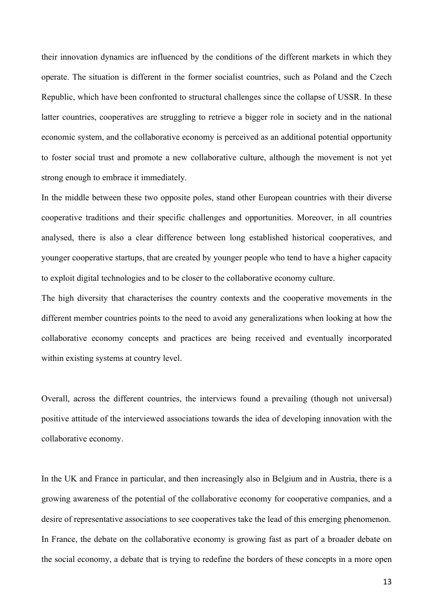their innovation dynamics are influenced by the conditions of the different markets in which they operate. The situation is different in the former socialist countries, such as Poland and the Czech Republic, which have been confronted to structural challenges since the collapse of USSR. In these latter countries, cooperatives are struggling to retrieve a bigger role in society and in the national economic system, and the collaborative economy is perceived as an additional potential opportunity to foster social trust and promote a new collaborative culture, although the movement is not yet strong enough to embrace it immediately.

In the middle between these two opposite poles, stand other European countries with their diverse cooperative traditions and their specific challenges and opportunities. Moreover, in all countries analysed, there is also a clear difference between long established historical cooperatives, and younger cooperative startups, that are created by younger people who tend to have a higher capacity to exploit digital technologies and to be closer to the collaborative economy culture.

The high diversity that characterises the country contexts and the cooperative movements in the different member countries points to the need to avoid any generalizations when looking at how the collaborative economy concepts and practices are being received and eventually incorporated within existing systems at country level.

Overall, across the different countries, the interviews found a prevailing (though not universal) positive attitude of the interviewed associations towards the idea of developing innovation with the collaborative economy.

In the UK and France in particular, and then increasingly also in Belgium and in Austria, there is a growing awareness of the potential of the collaborative economy for cooperative companies, and a desire of representative associations to see cooperatives take the lead of this emerging phenomenon. In France, the debate on the collaborative economy is growing fast as part of a broader debate on the social economy, a debate that is trying to redefine the borders of these concepts in a more open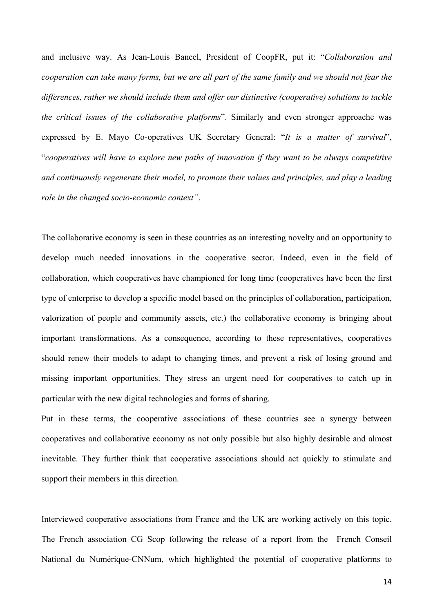and inclusive way. As Jean-Louis Bancel, President of CoopFR, put it: "*Collaboration and cooperation can take many forms, but we are all part of the same family and we should not fear the differences, rather we should include them and offer our distinctive (cooperative) solutions to tackle the critical issues of the collaborative platforms*". Similarly and even stronger approache was expressed by E. Mayo Co-operatives UK Secretary General: "*It is a matter of survival*", "*cooperatives will have to explore new paths of innovation if they want to be always competitive and continuously regenerate their model, to promote their values and principles, and play a leading role in the changed socio-economic context"*.

The collaborative economy is seen in these countries as an interesting novelty and an opportunity to develop much needed innovations in the cooperative sector. Indeed, even in the field of collaboration, which cooperatives have championed for long time (cooperatives have been the first type of enterprise to develop a specific model based on the principles of collaboration, participation, valorization of people and community assets, etc.) the collaborative economy is bringing about important transformations. As a consequence, according to these representatives, cooperatives should renew their models to adapt to changing times, and prevent a risk of losing ground and missing important opportunities. They stress an urgent need for cooperatives to catch up in particular with the new digital technologies and forms of sharing.

Put in these terms, the cooperative associations of these countries see a synergy between cooperatives and collaborative economy as not only possible but also highly desirable and almost inevitable. They further think that cooperative associations should act quickly to stimulate and support their members in this direction.

Interviewed cooperative associations from France and the UK are working actively on this topic. The French association CG Scop following the release of a report from the French Conseil National du Numérique-CNNum, which highlighted the potential of cooperative platforms to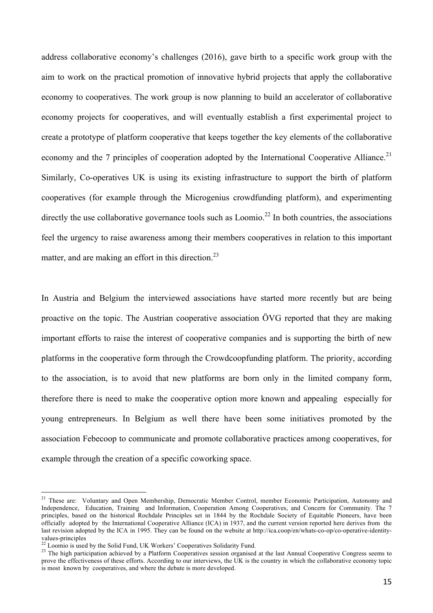address collaborative economy's challenges (2016), gave birth to a specific work group with the aim to work on the practical promotion of innovative hybrid projects that apply the collaborative economy to cooperatives. The work group is now planning to build an accelerator of collaborative economy projects for cooperatives, and will eventually establish a first experimental project to create a prototype of platform cooperative that keeps together the key elements of the collaborative economy and the 7 principles of cooperation adopted by the International Cooperative Alliance.<sup>21</sup> Similarly, Co-operatives UK is using its existing infrastructure to support the birth of platform cooperatives (for example through the Microgenius crowdfunding platform), and experimenting directly the use collaborative governance tools such as Loomio.<sup>22</sup> In both countries, the associations feel the urgency to raise awareness among their members cooperatives in relation to this important matter, and are making an effort in this direction.<sup>23</sup>

In Austria and Belgium the interviewed associations have started more recently but are being proactive on the topic. The Austrian cooperative association ÖVG reported that they are making important efforts to raise the interest of cooperative companies and is supporting the birth of new platforms in the cooperative form through the Crowdcoopfunding platform. The priority, according to the association, is to avoid that new platforms are born only in the limited company form, therefore there is need to make the cooperative option more known and appealing especially for young entrepreneurs. In Belgium as well there have been some initiatives promoted by the association Febecoop to communicate and promote collaborative practices among cooperatives, for example through the creation of a specific coworking space.

<sup>&</sup>lt;sup>21</sup> These are: Voluntary and Open Membership, Democratic Member Control, member Economic Participation, Autonomy and Independence, Education, Training and Information, Cooperation Among Cooperatives, and Concern for Community. The 7 principles, based on the historical Rochdale Principles set in 1844 by the Rochdale Society of Equitable Pioneers, have been officially adopted by the International Cooperative Alliance (ICA) in 1937, and the current version reported here derives from the last revision adopted by the ICA in 1995. They can be found on the website at http://ica.coop/en/whats-co-op/co-operative-identity-

<sup>&</sup>lt;sup>22</sup> Loomio is used by the Solid Fund, UK Workers' Cooperatives Solidarity Fund.<br><sup>23</sup> The high participation achieved by a Platform Cooperatives session organised at the last Annual Cooperative Congress seems to prove the effectiveness of these efforts. According to our interviews, the UK is the country in which the collaborative economy topic is most known by cooperatives, and where the debate is more developed.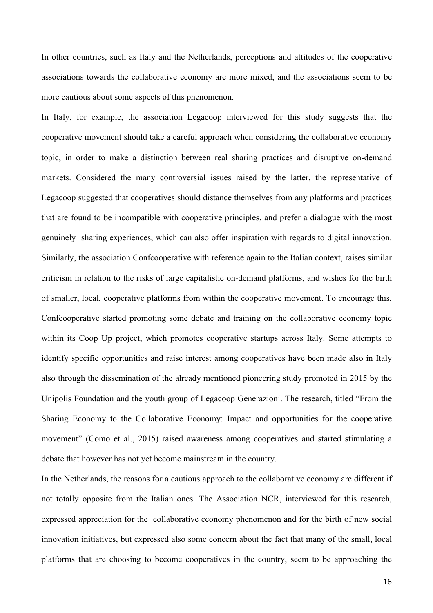In other countries, such as Italy and the Netherlands, perceptions and attitudes of the cooperative associations towards the collaborative economy are more mixed, and the associations seem to be more cautious about some aspects of this phenomenon.

In Italy, for example, the association Legacoop interviewed for this study suggests that the cooperative movement should take a careful approach when considering the collaborative economy topic, in order to make a distinction between real sharing practices and disruptive on-demand markets. Considered the many controversial issues raised by the latter, the representative of Legacoop suggested that cooperatives should distance themselves from any platforms and practices that are found to be incompatible with cooperative principles, and prefer a dialogue with the most genuinely sharing experiences, which can also offer inspiration with regards to digital innovation. Similarly, the association Confcooperative with reference again to the Italian context, raises similar criticism in relation to the risks of large capitalistic on-demand platforms, and wishes for the birth of smaller, local, cooperative platforms from within the cooperative movement. To encourage this, Confcooperative started promoting some debate and training on the collaborative economy topic within its Coop Up project, which promotes cooperative startups across Italy. Some attempts to identify specific opportunities and raise interest among cooperatives have been made also in Italy also through the dissemination of the already mentioned pioneering study promoted in 2015 by the Unipolis Foundation and the youth group of Legacoop Generazioni. The research, titled "From the Sharing Economy to the Collaborative Economy: Impact and opportunities for the cooperative movement" (Como et al., 2015) raised awareness among cooperatives and started stimulating a debate that however has not yet become mainstream in the country.

In the Netherlands, the reasons for a cautious approach to the collaborative economy are different if not totally opposite from the Italian ones. The Association NCR, interviewed for this research, expressed appreciation for the collaborative economy phenomenon and for the birth of new social innovation initiatives, but expressed also some concern about the fact that many of the small, local platforms that are choosing to become cooperatives in the country, seem to be approaching the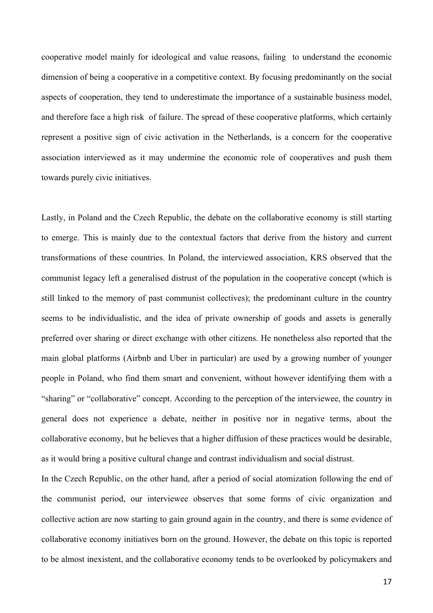cooperative model mainly for ideological and value reasons, failing to understand the economic dimension of being a cooperative in a competitive context. By focusing predominantly on the social aspects of cooperation, they tend to underestimate the importance of a sustainable business model, and therefore face a high risk of failure. The spread of these cooperative platforms, which certainly represent a positive sign of civic activation in the Netherlands, is a concern for the cooperative association interviewed as it may undermine the economic role of cooperatives and push them towards purely civic initiatives.

Lastly, in Poland and the Czech Republic, the debate on the collaborative economy is still starting to emerge. This is mainly due to the contextual factors that derive from the history and current transformations of these countries. In Poland, the interviewed association, KRS observed that the communist legacy left a generalised distrust of the population in the cooperative concept (which is still linked to the memory of past communist collectives); the predominant culture in the country seems to be individualistic, and the idea of private ownership of goods and assets is generally preferred over sharing or direct exchange with other citizens. He nonetheless also reported that the main global platforms (Airbnb and Uber in particular) are used by a growing number of younger people in Poland, who find them smart and convenient, without however identifying them with a "sharing" or "collaborative" concept. According to the perception of the interviewee, the country in general does not experience a debate, neither in positive nor in negative terms, about the collaborative economy, but he believes that a higher diffusion of these practices would be desirable, as it would bring a positive cultural change and contrast individualism and social distrust.

In the Czech Republic, on the other hand, after a period of social atomization following the end of the communist period, our interviewee observes that some forms of civic organization and collective action are now starting to gain ground again in the country, and there is some evidence of collaborative economy initiatives born on the ground. However, the debate on this topic is reported to be almost inexistent, and the collaborative economy tends to be overlooked by policymakers and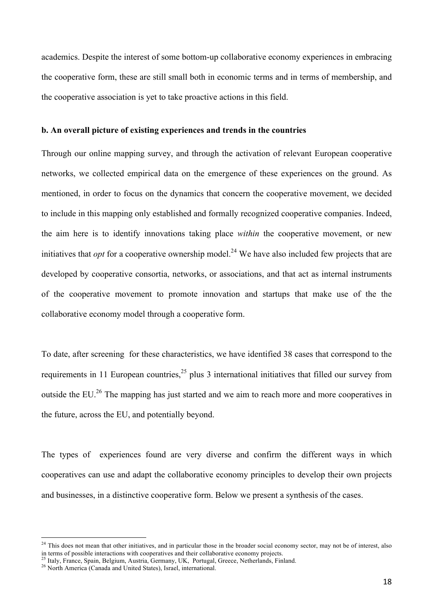academics. Despite the interest of some bottom-up collaborative economy experiences in embracing the cooperative form, these are still small both in economic terms and in terms of membership, and the cooperative association is yet to take proactive actions in this field.

### **b. An overall picture of existing experiences and trends in the countries**

Through our online mapping survey, and through the activation of relevant European cooperative networks, we collected empirical data on the emergence of these experiences on the ground. As mentioned, in order to focus on the dynamics that concern the cooperative movement, we decided to include in this mapping only established and formally recognized cooperative companies. Indeed, the aim here is to identify innovations taking place *within* the cooperative movement, or new initiatives that *opt* for a cooperative ownership model.<sup>24</sup> We have also included few projects that are developed by cooperative consortia, networks, or associations, and that act as internal instruments of the cooperative movement to promote innovation and startups that make use of the the collaborative economy model through a cooperative form.

To date, after screening for these characteristics, we have identified 38 cases that correspond to the requirements in 11 European countries,  $2^5$  plus 3 international initiatives that filled our survey from outside the EU.<sup>26</sup> The mapping has just started and we aim to reach more and more cooperatives in the future, across the EU, and potentially beyond.

The types of experiences found are very diverse and confirm the different ways in which cooperatives can use and adapt the collaborative economy principles to develop their own projects and businesses, in a distinctive cooperative form. Below we present a synthesis of the cases.

<sup>&</sup>lt;sup>24</sup> This does not mean that other initiatives, and in particular those in the broader social economy sector, may not be of interest, also in terms of possible interactions with cooperatives and their collaborative economy projects.

<sup>&</sup>lt;sup>25</sup> Italy, France, Spain, Belgium, Austria, Germany, UK, Portugal, Greece, Netherlands, Finland.<br><sup>26</sup> North America (Canada and United States), Israel, international.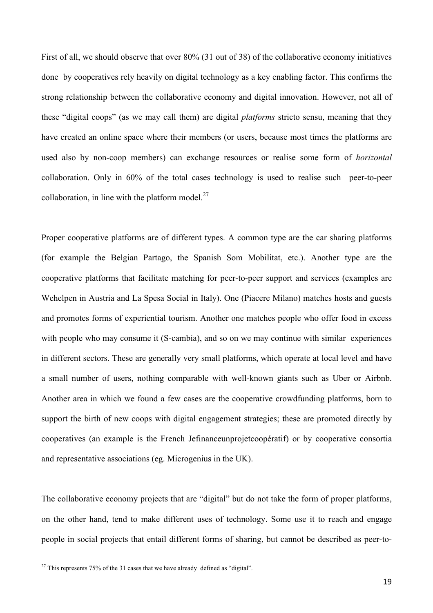First of all, we should observe that over 80% (31 out of 38) of the collaborative economy initiatives done by cooperatives rely heavily on digital technology as a key enabling factor. This confirms the strong relationship between the collaborative economy and digital innovation. However, not all of these "digital coops" (as we may call them) are digital *platforms* stricto sensu, meaning that they have created an online space where their members (or users, because most times the platforms are used also by non-coop members) can exchange resources or realise some form of *horizontal* collaboration. Only in 60% of the total cases technology is used to realise such peer-to-peer collaboration, in line with the platform model. $27$ 

Proper cooperative platforms are of different types. A common type are the car sharing platforms (for example the Belgian Partago, the Spanish Som Mobilitat, etc.). Another type are the cooperative platforms that facilitate matching for peer-to-peer support and services (examples are Wehelpen in Austria and La Spesa Social in Italy). One (Piacere Milano) matches hosts and guests and promotes forms of experiential tourism. Another one matches people who offer food in excess with people who may consume it (S-cambia), and so on we may continue with similar experiences in different sectors. These are generally very small platforms, which operate at local level and have a small number of users, nothing comparable with well-known giants such as Uber or Airbnb. Another area in which we found a few cases are the cooperative crowdfunding platforms, born to support the birth of new coops with digital engagement strategies; these are promoted directly by cooperatives (an example is the French Jefinanceunprojetcoopératif) or by cooperative consortia and representative associations (eg. Microgenius in the UK).

The collaborative economy projects that are "digital" but do not take the form of proper platforms, on the other hand, tend to make different uses of technology. Some use it to reach and engage people in social projects that entail different forms of sharing, but cannot be described as peer-to-

 $27$  This represents 75% of the 31 cases that we have already defined as "digital".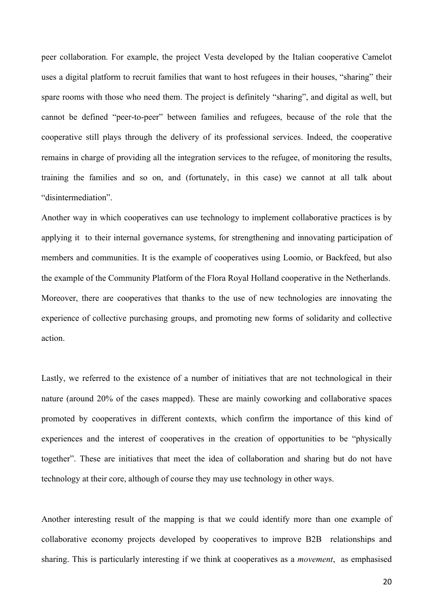peer collaboration. For example, the project Vesta developed by the Italian cooperative Camelot uses a digital platform to recruit families that want to host refugees in their houses, "sharing" their spare rooms with those who need them. The project is definitely "sharing", and digital as well, but cannot be defined "peer-to-peer" between families and refugees, because of the role that the cooperative still plays through the delivery of its professional services. Indeed, the cooperative remains in charge of providing all the integration services to the refugee, of monitoring the results, training the families and so on, and (fortunately, in this case) we cannot at all talk about "disintermediation".

Another way in which cooperatives can use technology to implement collaborative practices is by applying it to their internal governance systems, for strengthening and innovating participation of members and communities. It is the example of cooperatives using Loomio, or Backfeed, but also the example of the Community Platform of the Flora Royal Holland cooperative in the Netherlands. Moreover, there are cooperatives that thanks to the use of new technologies are innovating the experience of collective purchasing groups, and promoting new forms of solidarity and collective action.

Lastly, we referred to the existence of a number of initiatives that are not technological in their nature (around 20% of the cases mapped). These are mainly coworking and collaborative spaces promoted by cooperatives in different contexts, which confirm the importance of this kind of experiences and the interest of cooperatives in the creation of opportunities to be "physically together". These are initiatives that meet the idea of collaboration and sharing but do not have technology at their core, although of course they may use technology in other ways.

Another interesting result of the mapping is that we could identify more than one example of collaborative economy projects developed by cooperatives to improve B2B relationships and sharing. This is particularly interesting if we think at cooperatives as a *movement*, as emphasised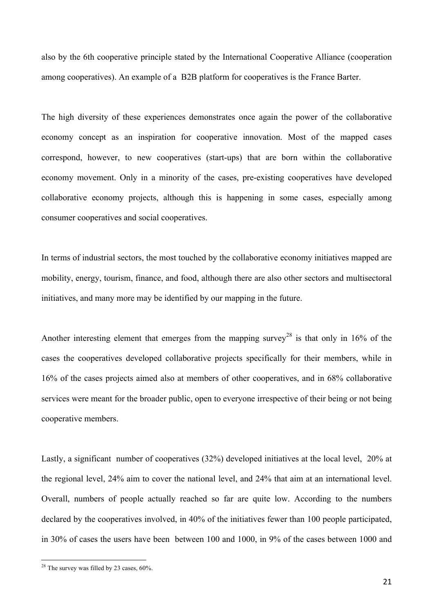also by the 6th cooperative principle stated by the International Cooperative Alliance (cooperation among cooperatives). An example of a B2B platform for cooperatives is the France Barter.

The high diversity of these experiences demonstrates once again the power of the collaborative economy concept as an inspiration for cooperative innovation. Most of the mapped cases correspond, however, to new cooperatives (start-ups) that are born within the collaborative economy movement. Only in a minority of the cases, pre-existing cooperatives have developed collaborative economy projects, although this is happening in some cases, especially among consumer cooperatives and social cooperatives.

In terms of industrial sectors, the most touched by the collaborative economy initiatives mapped are mobility, energy, tourism, finance, and food, although there are also other sectors and multisectoral initiatives, and many more may be identified by our mapping in the future.

Another interesting element that emerges from the mapping survey<sup>28</sup> is that only in 16% of the cases the cooperatives developed collaborative projects specifically for their members, while in 16% of the cases projects aimed also at members of other cooperatives, and in 68% collaborative services were meant for the broader public, open to everyone irrespective of their being or not being cooperative members.

Lastly, a significant number of cooperatives (32%) developed initiatives at the local level, 20% at the regional level, 24% aim to cover the national level, and 24% that aim at an international level. Overall, numbers of people actually reached so far are quite low. According to the numbers declared by the cooperatives involved, in 40% of the initiatives fewer than 100 people participated, in 30% of cases the users have been between 100 and 1000, in 9% of the cases between 1000 and

 $28$  The survey was filled by 23 cases, 60%.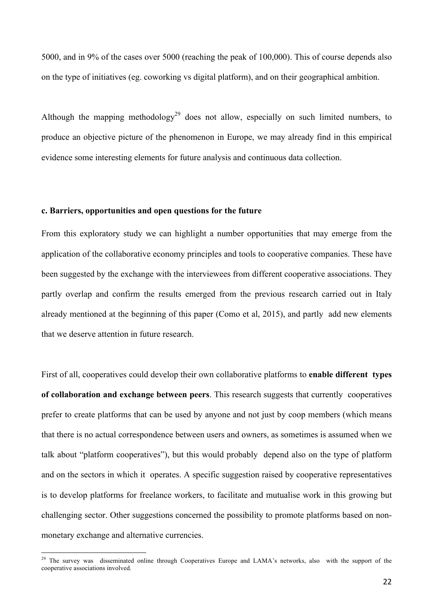5000, and in 9% of the cases over 5000 (reaching the peak of 100,000). This of course depends also on the type of initiatives (eg. coworking vs digital platform), and on their geographical ambition.

Although the mapping methodology<sup>29</sup> does not allow, especially on such limited numbers, to produce an objective picture of the phenomenon in Europe, we may already find in this empirical evidence some interesting elements for future analysis and continuous data collection.

### **c. Barriers, opportunities and open questions for the future**

From this exploratory study we can highlight a number opportunities that may emerge from the application of the collaborative economy principles and tools to cooperative companies. These have been suggested by the exchange with the interviewees from different cooperative associations. They partly overlap and confirm the results emerged from the previous research carried out in Italy already mentioned at the beginning of this paper (Como et al, 2015), and partly add new elements that we deserve attention in future research.

First of all, cooperatives could develop their own collaborative platforms to **enable different types of collaboration and exchange between peers**. This research suggests that currently cooperatives prefer to create platforms that can be used by anyone and not just by coop members (which means that there is no actual correspondence between users and owners, as sometimes is assumed when we talk about "platform cooperatives"), but this would probably depend also on the type of platform and on the sectors in which it operates. A specific suggestion raised by cooperative representatives is to develop platforms for freelance workers, to facilitate and mutualise work in this growing but challenging sector. Other suggestions concerned the possibility to promote platforms based on nonmonetary exchange and alternative currencies.

<sup>&</sup>lt;sup>29</sup> The survey was disseminated online through Cooperatives Europe and LAMA's networks, also with the support of the cooperative associations involved.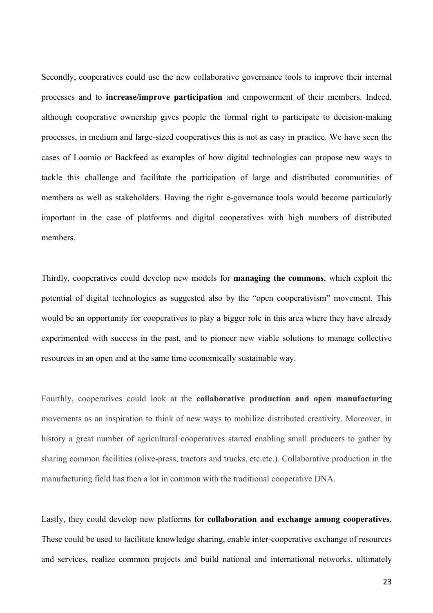Secondly, cooperatives could use the new collaborative governance tools to improve their internal processes and to **increase/improve participation** and empowerment of their members. Indeed, although cooperative ownership gives people the formal right to participate to decision-making processes, in medium and large-sized cooperatives this is not as easy in practice. We have seen the cases of Loomio or Backfeed as examples of how digital technologies can propose new ways to tackle this challenge and facilitate the participation of large and distributed communities of members as well as stakeholders. Having the right e-governance tools would become particularly important in the case of platforms and digital cooperatives with high numbers of distributed members.

Thirdly, cooperatives could develop new models for **managing the commons**, which exploit the potential of digital technologies as suggested also by the "open cooperativism" movement. This would be an opportunity for cooperatives to play a bigger role in this area where they have already experimented with success in the past, and to pioneer new viable solutions to manage collective resources in an open and at the same time economically sustainable way.

Fourthly, cooperatives could look at the **collaborative production and open manufacturing**  movements as an inspiration to think of new ways to mobilize distributed creativity. Moreover, in history a great number of agricultural cooperatives started enabling small producers to gather by sharing common facilities (olive-press, tractors and trucks, etc.etc.). Collaborative production in the manufacturing field has then a lot in common with the traditional cooperative DNA.

Lastly, they could develop new platforms for **collaboration and exchange among cooperatives.**  These could be used to facilitate knowledge sharing, enable inter-cooperative exchange of resources and services, realize common projects and build national and international networks, ultimately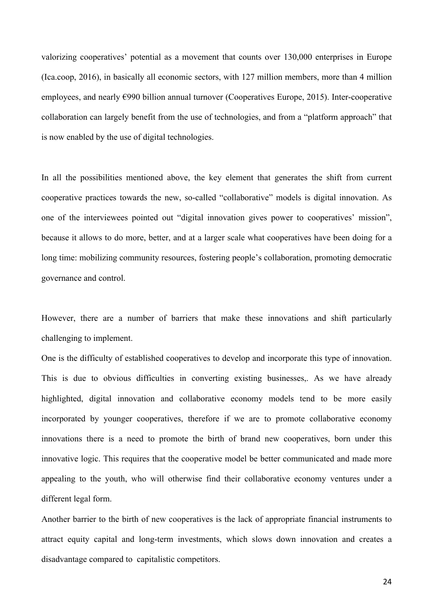valorizing cooperatives' potential as a movement that counts over 130,000 enterprises in Europe (Ica.coop, 2016), in basically all economic sectors, with 127 million members, more than 4 million employees, and nearly €990 billion annual turnover (Cooperatives Europe, 2015). Inter-cooperative collaboration can largely benefit from the use of technologies, and from a "platform approach" that is now enabled by the use of digital technologies.

In all the possibilities mentioned above, the key element that generates the shift from current cooperative practices towards the new, so-called "collaborative" models is digital innovation. As one of the interviewees pointed out "digital innovation gives power to cooperatives' mission", because it allows to do more, better, and at a larger scale what cooperatives have been doing for a long time: mobilizing community resources, fostering people's collaboration, promoting democratic governance and control.

However, there are a number of barriers that make these innovations and shift particularly challenging to implement.

One is the difficulty of established cooperatives to develop and incorporate this type of innovation. This is due to obvious difficulties in converting existing businesses,. As we have already highlighted, digital innovation and collaborative economy models tend to be more easily incorporated by younger cooperatives, therefore if we are to promote collaborative economy innovations there is a need to promote the birth of brand new cooperatives, born under this innovative logic. This requires that the cooperative model be better communicated and made more appealing to the youth, who will otherwise find their collaborative economy ventures under a different legal form.

Another barrier to the birth of new cooperatives is the lack of appropriate financial instruments to attract equity capital and long-term investments, which slows down innovation and creates a disadvantage compared to capitalistic competitors.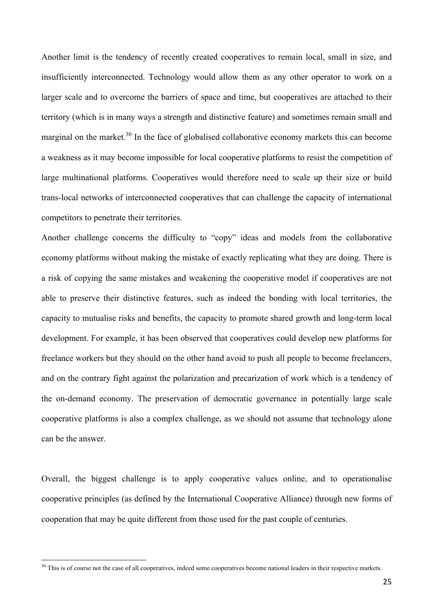Another limit is the tendency of recently created cooperatives to remain local, small in size, and insufficiently interconnected. Technology would allow them as any other operator to work on a larger scale and to overcome the barriers of space and time, but cooperatives are attached to their territory (which is in many ways a strength and distinctive feature) and sometimes remain small and marginal on the market. $30$  In the face of globalised collaborative economy markets this can become a weakness as it may become impossible for local cooperative platforms to resist the competition of large multinational platforms. Cooperatives would therefore need to scale up their size or build trans-local networks of interconnected cooperatives that can challenge the capacity of international competitors to penetrate their territories.

Another challenge concerns the difficulty to "copy" ideas and models from the collaborative economy platforms without making the mistake of exactly replicating what they are doing. There is a risk of copying the same mistakes and weakening the cooperative model if cooperatives are not able to preserve their distinctive features, such as indeed the bonding with local territories, the capacity to mutualise risks and benefits, the capacity to promote shared growth and long-term local development. For example, it has been observed that cooperatives could develop new platforms for freelance workers but they should on the other hand avoid to push all people to become freelancers, and on the contrary fight against the polarization and precarization of work which is a tendency of the on-demand economy. The preservation of democratic governance in potentially large scale cooperative platforms is also a complex challenge, as we should not assume that technology alone can be the answer.

Overall, the biggest challenge is to apply cooperative values online, and to operationalise cooperative principles (as defined by the International Cooperative Alliance) through new forms of cooperation that may be quite different from those used for the past couple of centuries.

<sup>&</sup>lt;sup>30</sup> This is of course not the case of all cooperatives, indeed some cooperatives become national leaders in their respective markets.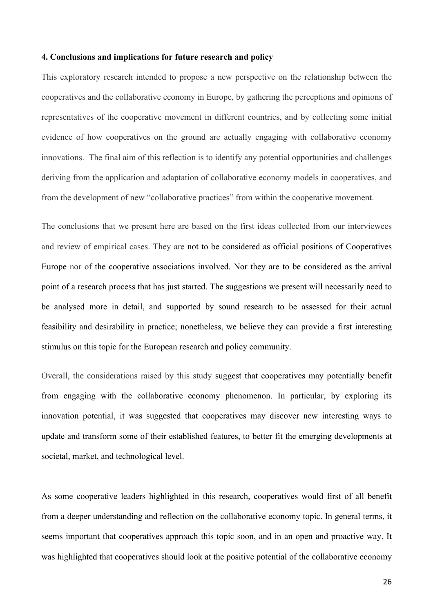### **4. Conclusions and implications for future research and policy**

This exploratory research intended to propose a new perspective on the relationship between the cooperatives and the collaborative economy in Europe, by gathering the perceptions and opinions of representatives of the cooperative movement in different countries, and by collecting some initial evidence of how cooperatives on the ground are actually engaging with collaborative economy innovations. The final aim of this reflection is to identify any potential opportunities and challenges deriving from the application and adaptation of collaborative economy models in cooperatives, and from the development of new "collaborative practices" from within the cooperative movement.

The conclusions that we present here are based on the first ideas collected from our interviewees and review of empirical cases. They are not to be considered as official positions of Cooperatives Europe nor of the cooperative associations involved. Nor they are to be considered as the arrival point of a research process that has just started. The suggestions we present will necessarily need to be analysed more in detail, and supported by sound research to be assessed for their actual feasibility and desirability in practice; nonetheless, we believe they can provide a first interesting stimulus on this topic for the European research and policy community.

Overall, the considerations raised by this study suggest that cooperatives may potentially benefit from engaging with the collaborative economy phenomenon. In particular, by exploring its innovation potential, it was suggested that cooperatives may discover new interesting ways to update and transform some of their established features, to better fit the emerging developments at societal, market, and technological level.

As some cooperative leaders highlighted in this research, cooperatives would first of all benefit from a deeper understanding and reflection on the collaborative economy topic. In general terms, it seems important that cooperatives approach this topic soon, and in an open and proactive way. It was highlighted that cooperatives should look at the positive potential of the collaborative economy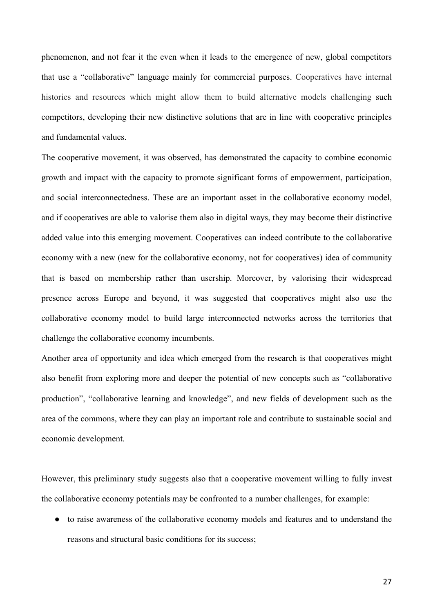phenomenon, and not fear it the even when it leads to the emergence of new, global competitors that use a "collaborative" language mainly for commercial purposes. Cooperatives have internal histories and resources which might allow them to build alternative models challenging such competitors, developing their new distinctive solutions that are in line with cooperative principles and fundamental values.

The cooperative movement, it was observed, has demonstrated the capacity to combine economic growth and impact with the capacity to promote significant forms of empowerment, participation, and social interconnectedness. These are an important asset in the collaborative economy model, and if cooperatives are able to valorise them also in digital ways, they may become their distinctive added value into this emerging movement. Cooperatives can indeed contribute to the collaborative economy with a new (new for the collaborative economy, not for cooperatives) idea of community that is based on membership rather than usership. Moreover, by valorising their widespread presence across Europe and beyond, it was suggested that cooperatives might also use the collaborative economy model to build large interconnected networks across the territories that challenge the collaborative economy incumbents.

Another area of opportunity and idea which emerged from the research is that cooperatives might also benefit from exploring more and deeper the potential of new concepts such as "collaborative production", "collaborative learning and knowledge", and new fields of development such as the area of the commons, where they can play an important role and contribute to sustainable social and economic development.

However, this preliminary study suggests also that a cooperative movement willing to fully invest the collaborative economy potentials may be confronted to a number challenges, for example:

● to raise awareness of the collaborative economy models and features and to understand the reasons and structural basic conditions for its success;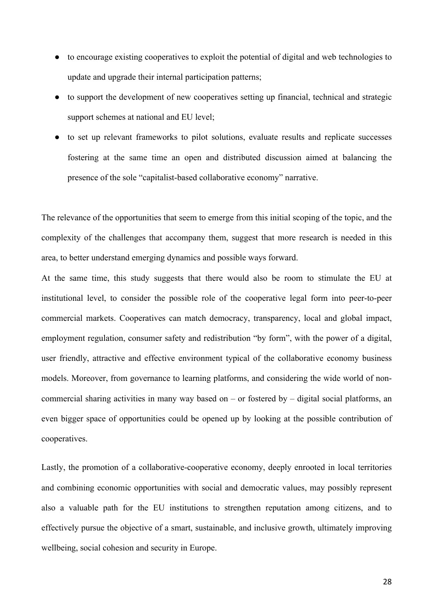- to encourage existing cooperatives to exploit the potential of digital and web technologies to update and upgrade their internal participation patterns;
- to support the development of new cooperatives setting up financial, technical and strategic support schemes at national and EU level;
- to set up relevant frameworks to pilot solutions, evaluate results and replicate successes fostering at the same time an open and distributed discussion aimed at balancing the presence of the sole "capitalist-based collaborative economy" narrative.

The relevance of the opportunities that seem to emerge from this initial scoping of the topic, and the complexity of the challenges that accompany them, suggest that more research is needed in this area, to better understand emerging dynamics and possible ways forward.

At the same time, this study suggests that there would also be room to stimulate the EU at institutional level, to consider the possible role of the cooperative legal form into peer-to-peer commercial markets. Cooperatives can match democracy, transparency, local and global impact, employment regulation, consumer safety and redistribution "by form", with the power of a digital, user friendly, attractive and effective environment typical of the collaborative economy business models. Moreover, from governance to learning platforms, and considering the wide world of noncommercial sharing activities in many way based on – or fostered by – digital social platforms, an even bigger space of opportunities could be opened up by looking at the possible contribution of cooperatives.

Lastly, the promotion of a collaborative-cooperative economy, deeply enrooted in local territories and combining economic opportunities with social and democratic values, may possibly represent also a valuable path for the EU institutions to strengthen reputation among citizens, and to effectively pursue the objective of a smart, sustainable, and inclusive growth, ultimately improving wellbeing, social cohesion and security in Europe.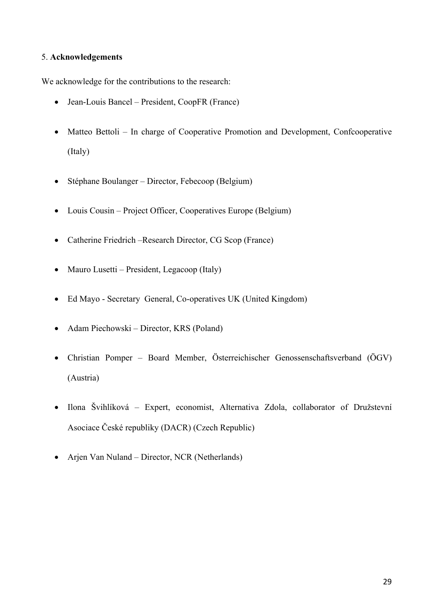### 5. **Acknowledgements**

We acknowledge for the contributions to the research:

- Jean-Louis Bancel President, CoopFR (France)
- Matteo Bettoli In charge of Cooperative Promotion and Development, Confcooperative (Italy)
- Stéphane Boulanger Director, Febecoop (Belgium)
- Louis Cousin Project Officer, Cooperatives Europe (Belgium)
- Catherine Friedrich –Research Director, CG Scop (France)
- Mauro Lusetti President, Legacoop (Italy)
- Ed Mayo Secretary General, Co-operatives UK (United Kingdom)
- Adam Piechowski Director, KRS (Poland)
- Christian Pomper Board Member, Österreichischer Genossenschaftsverband (ÖGV) (Austria)
- Ilona Švihlíková Expert, economist, Alternativa Zdola, collaborator of Družstevní Asociace České republiky (DACR) (Czech Republic)
- Arjen Van Nuland Director, NCR (Netherlands)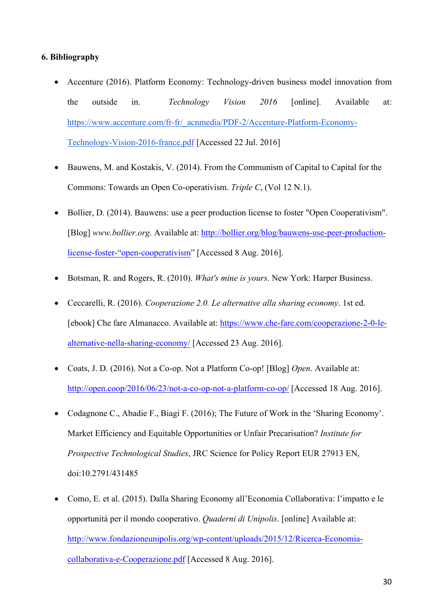### **6. Bibliography**

- Accenture (2016). Platform Economy: Technology-driven business model innovation from the outside in. *Technology Vision 2016* [online]. Available at: https://www.accenture.com/fr-fr/\_acnmedia/PDF-2/Accenture-Platform-Economy-Technology-Vision-2016-france.pdf [Accessed 22 Jul. 2016]
- Bauwens, M. and Kostakis, V. (2014). From the Communism of Capital to Capital for the Commons: Towards an Open Co-operativism. *Triple C*, (Vol 12 N.1).
- Bollier, D. (2014). Bauwens: use a peer production license to foster "Open Cooperativism". [Blog] *www.bollier.org*. Available at: http://bollier.org/blog/bauwens-use-peer-productionlicense-foster-"open-cooperativism" [Accessed 8 Aug. 2016].
- Botsman, R. and Rogers, R. (2010). *What's mine is yours*. New York: Harper Business.
- Ceccarelli, R. (2016). *Cooperazione 2.0. Le alternative alla sharing economy*. 1st ed. [ebook] Che fare Almanacco. Available at: https://www.che-fare.com/cooperazione-2-0-lealternative-nella-sharing-economy/ [Accessed 23 Aug. 2016].
- Coats, J. D. (2016). Not a Co-op. Not a Platform Co-op! [Blog] *Open*. Available at: http://open.coop/2016/06/23/not-a-co-op-not-a-platform-co-op/ [Accessed 18 Aug. 2016].
- Codagnone C., Abadie F., Biagi F. (2016); The Future of Work in the 'Sharing Economy'. Market Efficiency and Equitable Opportunities or Unfair Precarisation? *Institute for Prospective Technological Studies*, JRC Science for Policy Report EUR 27913 EN, doi:10.2791/431485
- Como, E. et al. (2015). Dalla Sharing Economy all'Economia Collaborativa: l'impatto e le opportunità per il mondo cooperativo. *Quaderni di Unipolis*. [online] Available at: http://www.fondazioneunipolis.org/wp-content/uploads/2015/12/Ricerca-Economiacollaborativa-e-Cooperazione.pdf [Accessed 8 Aug. 2016].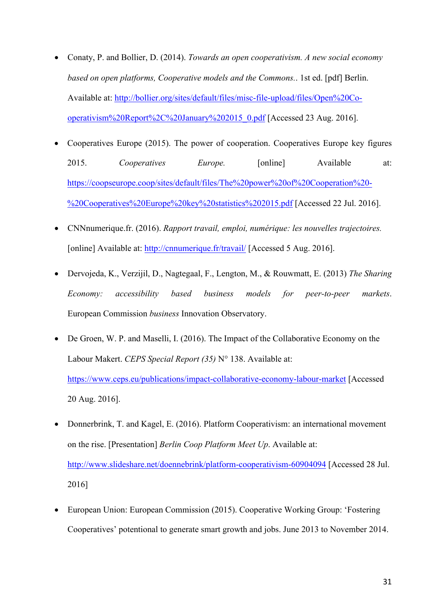- Conaty, P. and Bollier, D. (2014). *Towards an open cooperativism. A new social economy based on open platforms, Cooperative models and the Commons.*. 1st ed. [pdf] Berlin. Available at: http://bollier.org/sites/default/files/misc-file-upload/files/Open%20Cooperativism%20Report%2C%20January%202015\_0.pdf [Accessed 23 Aug. 2016].
- Cooperatives Europe (2015). The power of cooperation. Cooperatives Europe key figures 2015. *Cooperatives Europe.* [online] Available at: https://coopseurope.coop/sites/default/files/The%20power%20of%20Cooperation%20- %20Cooperatives%20Europe%20key%20statistics%202015.pdf [Accessed 22 Jul. 2016].
- CNNnumerique.fr. (2016). *Rapport travail, emploi, numérique: les nouvelles trajectoires.*  [online] Available at: http://cnnumerique.fr/travail/ [Accessed 5 Aug. 2016].
- Dervojeda, K., Verzijil, D., Nagtegaal, F., Lengton, M., & Rouwmatt, E. (2013) *The Sharing Economy: accessibility based business models for peer-to-peer markets*. European Commission *business* Innovation Observatory.
- De Groen, W. P. and Maselli, I. (2016). The Impact of the Collaborative Economy on the Labour Makert. *CEPS Special Report (35)* N° 138. Available at: https://www.ceps.eu/publications/impact-collaborative-economy-labour-market [Accessed 20 Aug. 2016].
- Donnerbrink, T. and Kagel, E. (2016). Platform Cooperativism: an international movement on the rise. [Presentation] *Berlin Coop Platform Meet Up*. Available at: http://www.slideshare.net/doennebrink/platform-cooperativism-60904094 [Accessed 28 Jul. 2016]
- European Union: European Commission (2015). Cooperative Working Group: 'Fostering Cooperatives' potentional to generate smart growth and jobs. June 2013 to November 2014.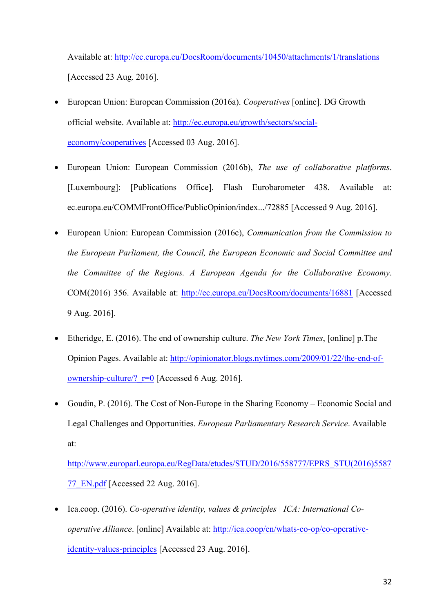Available at: http://ec.europa.eu/DocsRoom/documents/10450/attachments/1/translations [Accessed 23 Aug. 2016].

- European Union: European Commission (2016a). *Cooperatives* [online]. DG Growth official website. Available at: http://ec.europa.eu/growth/sectors/socialeconomy/cooperatives [Accessed 03 Aug. 2016].
- European Union: European Commission (2016b), *The use of collaborative platforms*. [Luxembourg]: [Publications Office]. Flash Eurobarometer 438. Available at: ec.europa.eu/COMMFrontOffice/PublicOpinion/index.../72885 [Accessed 9 Aug. 2016].
- European Union: European Commission (2016c), *Communication from the Commission to the European Parliament, the Council, the European Economic and Social Committee and the Committee of the Regions. A European Agenda for the Collaborative Economy*. COM(2016) 356. Available at: http://ec.europa.eu/DocsRoom/documents/16881 [Accessed 9 Aug. 2016].
- Etheridge, E. (2016). The end of ownership culture. *The New York Times*, [online] p.The Opinion Pages. Available at: http://opinionator.blogs.nytimes.com/2009/01/22/the-end-ofownership-culture/?  $r=0$  [Accessed 6 Aug. 2016].
- Goudin, P. (2016). The Cost of Non-Europe in the Sharing Economy Economic Social and Legal Challenges and Opportunities. *European Parliamentary Research Service*. Available at:

http://www.europarl.europa.eu/RegData/etudes/STUD/2016/558777/EPRS\_STU(2016)5587 77\_EN.pdf [Accessed 22 Aug. 2016].

• Ica.coop. (2016). *Co-operative identity, values & principles | ICA: International Cooperative Alliance*. [online] Available at: http://ica.coop/en/whats-co-op/co-operativeidentity-values-principles [Accessed 23 Aug. 2016].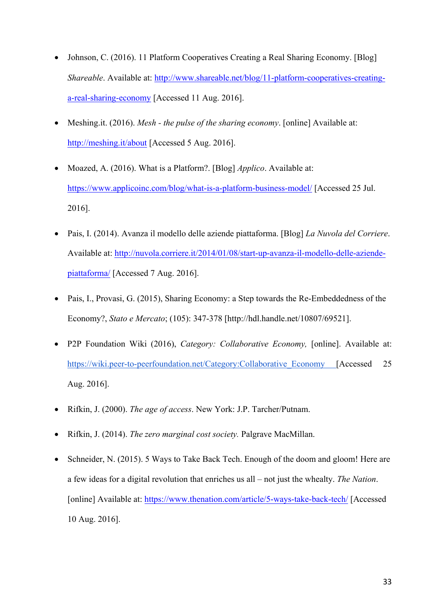- Johnson, C. (2016). 11 Platform Cooperatives Creating a Real Sharing Economy. [Blog] *Shareable*. Available at: http://www.shareable.net/blog/11-platform-cooperatives-creatinga-real-sharing-economy [Accessed 11 Aug. 2016].
- Meshing.it. (2016). *Mesh - the pulse of the sharing economy*. [online] Available at: http://meshing.it/about [Accessed 5 Aug. 2016].
- Moazed, A. (2016). What is a Platform?. [Blog] *Applico*. Available at: https://www.applicoinc.com/blog/what-is-a-platform-business-model/ [Accessed 25 Jul.] 2016].
- Pais, I. (2014). Avanza il modello delle aziende piattaforma. [Blog] *La Nuvola del Corriere*. Available at: http://nuvola.corriere.it/2014/01/08/start-up-avanza-il-modello-delle-aziendepiattaforma/ [Accessed 7 Aug. 2016].
- Pais, I., Provasi, G. (2015), Sharing Economy: a Step towards the Re-Embeddedness of the Economy?, *Stato e Mercato*; (105): 347-378 [http://hdl.handle.net/10807/69521].
- P2P Foundation Wiki (2016), *Category: Collaborative Economy,* [online]. Available at: https://wiki.peer-to-peerfoundation.net/Category:Collaborative\_Economy [Accessed 25 Aug. 2016].
- Rifkin, J. (2000). *The age of access*. New York: J.P. Tarcher/Putnam.
- Rifkin, J. (2014). *The zero marginal cost society.* Palgrave MacMillan.
- Schneider, N. (2015). 5 Ways to Take Back Tech. Enough of the doom and gloom! Here are a few ideas for a digital revolution that enriches us all – not just the whealty. *The Nation*. [online] Available at: https://www.thenation.com/article/5-ways-take-back-tech/ [Accessed] 10 Aug. 2016].